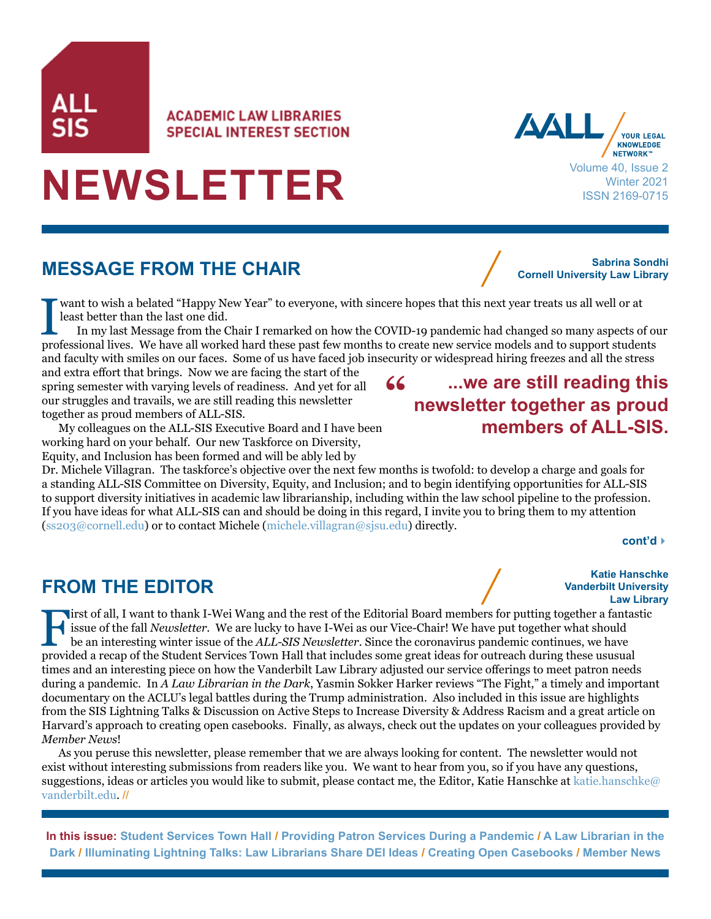**ALL** 

## **ACADEMIC LAW LIBRARIES SPECIAL INTEREST SECTION**



## <span id="page-0-0"></span>**MESSAGE FROM THE CHAIR Sabrina Sondhi**<br> **Sabrina Sondhi**

I want to wish a belated "Happy New Year" to everyone, with sincere hopes that this next year treats us all well or at least better than the last one did.<br>In my last Message from the Chair I remarked on how the COVID-19 pa want to wish a belated "Happy New Year" to everyone, with sincere hopes that this next year treats us all well or at least better than the last one did.

In my last Message from the Chair I remarked on how the COVID-19 pandemic had changed so many aspects of our and faculty with smiles on our faces. Some of us have faced job insecurity or widespread hiring freezes and all the stress

**"**

and extra effort that brings. Now we are facing the start of the spring semester with varying levels of readiness. And yet for all our struggles and travails, we are still reading this newsletter together as proud members of ALL-SIS.

My colleagues on the ALL-SIS Executive Board and I have been working hard on your behalf. Our new Taskforce on Diversity, Equity, and Inclusion has been formed and will be ably led by

Dr. Michele Villagran. The taskforce's objective over the next few months is twofold: to develop a charge and goals for a standing ALL-SIS Committee on Diversity, Equity, and Inclusion; and to begin identifying opportunities for ALL-SIS to support diversity initiatives in academic law librarianship, including within the law school pipeline to the profession. If you have ideas for what ALL-SIS can and should be doing in this regard, I invite you to bring them to my attention ([ss203@cornell.edu](mailto:ss203@cornell.edu)) or to contact Michele ([michele.villagran@sjsu.edu](mailto:michele.villagran@sjsu.edu)) directly.

**cont'd**[4](#page-1-1)

## **Katie Hanschke Vanderbilt University Law Library**

## **FROM THE EDITOR**

First of all, I want to thank I-Wei Wang and the rest of the Editorial Board members for putting together a fantastic issue of the fall *Newsletter*. We are lucky to have I-Wei as our Vice-Chair! We have put together what should be an interesting winter issue of the *ALL-SIS Newsletter*. Since the coronavirus pandemic continues, we have provided a recap of the Student Services Town Hall that includes some great ideas for outreach during these ususual times and an interesting piece on how the Vanderbilt Law Library adjusted our service offerings to meet patron needs during a pandemic. In *A Law Librarian in the Dark*, Yasmin Sokker Harker reviews "The Fight," a timely and important documentary on the ACLU's legal battles during the Trump administration. Also included in this issue are highlights from the SIS Lightning Talks & Discussion on Active Steps to Increase Diversity & Address Racism and a great article on Harvard's approach to creating open casebooks. Finally, as always, check out the updates on your colleagues provided by *Member News*!

As you peruse this newsletter, please remember that we are always looking for content. The newsletter would not exist without interesting submissions from readers like you. We want to hear from you, so if you have any questions, suggestions, ideas or articles you would like to submit, please contact me, the Editor, Katie Hanschke at [katie.hanschke@](mailto:katie.hanschke%40vanderbilt.edu?subject=ALL-SIS%20Newsletter) [vanderbilt.edu](mailto:katie.hanschke%40vanderbilt.edu?subject=ALL-SIS%20Newsletter). //

**In this issue: [Student Services Town Hall](#page-1-0) / [Providing Patron Services During a Pandemic](#page-2-0) / [A Law Librarian in the](#page-4-0)  [Dark](#page-4-0) / [Illuminating Lightning Talks: Law Librarians Share DEI Ideas](#page-6-0) / [Creating Open Casebooks](#page-8-0) / [Member News](#page-9-0)**

**NEWSLETTER** Volume 40, Issue 2<br>
ISSN 2169-0715

**Cornell University Law Library**

**...we are still reading this newsletter together as proud members of ALL-SIS.**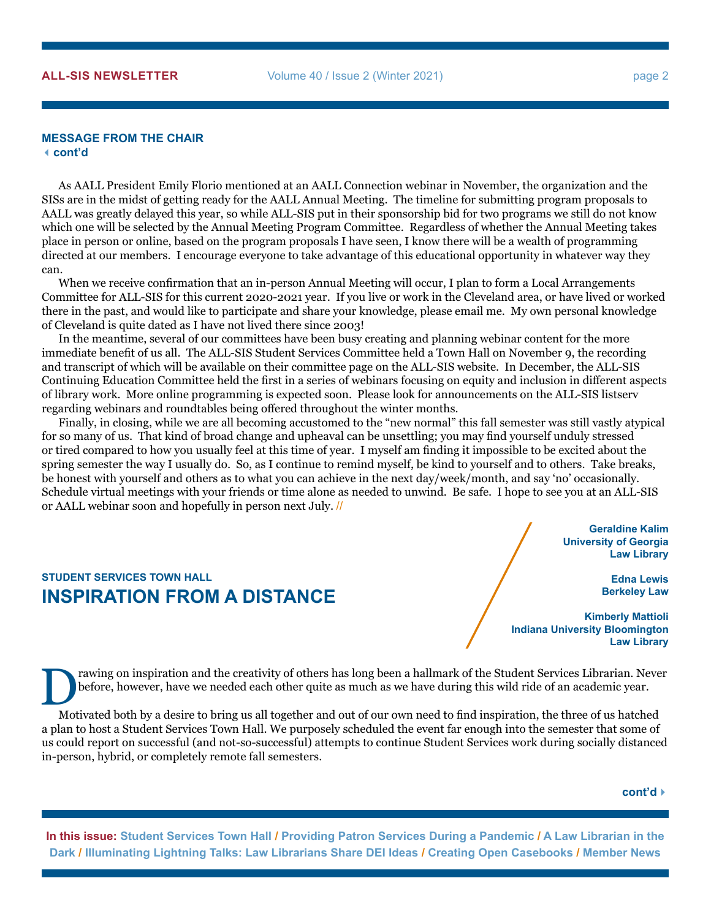## <span id="page-1-1"></span>**MESSAGE FROM THE CHAIR** [3](#page-0-0)**cont'd**

As AALL President Emily Florio mentioned at an AALL Connection webinar in November, the organization and the SISs are in the midst of getting ready for the AALL Annual Meeting. The timeline for submitting program proposals to AALL was greatly delayed this year, so while ALL-SIS put in their sponsorship bid for two programs we still do not know which one will be selected by the Annual Meeting Program Committee. Regardless of whether the Annual Meeting takes place in person or online, based on the program proposals I have seen, I know there will be a wealth of programming directed at our members. I encourage everyone to take advantage of this educational opportunity in whatever way they can.

When we receive confirmation that an in-person Annual Meeting will occur, I plan to form a Local Arrangements Committee for ALL-SIS for this current 2020-2021 year. If you live or work in the Cleveland area, or have lived or worked there in the past, and would like to participate and share your knowledge, please email me. My own personal knowledge of Cleveland is quite dated as I have not lived there since 2003!

In the meantime, several of our committees have been busy creating and planning webinar content for the more immediate benefit of us all. The ALL-SIS Student Services Committee held a Town Hall on November 9, the recording and transcript of which will be available on their committee page on the ALL-SIS website. In December, the ALL-SIS Continuing Education Committee held the first in a series of webinars focusing on equity and inclusion in different aspects of library work. More online programming is expected soon. Please look for announcements on the ALL-SIS listserv regarding webinars and roundtables being offered throughout the winter months.

Finally, in closing, while we are all becoming accustomed to the "new normal" this fall semester was still vastly atypical for so many of us. That kind of broad change and upheaval can be unsettling; you may find yourself unduly stressed or tired compared to how you usually feel at this time of year. I myself am finding it impossible to be excited about the spring semester the way I usually do. So, as I continue to remind myself, be kind to yourself and to others. Take breaks, be honest with yourself and others as to what you can achieve in the next day/week/month, and say 'no' occasionally. Schedule virtual meetings with your friends or time alone as needed to unwind. Be safe. I hope to see you at an ALL-SIS or AALL webinar soon and hopefully in person next July. //

## <span id="page-1-0"></span>**STUDENT SERVICES TOWN HALL INSPIRATION FROM A DISTANCE**

**Geraldine Kalim University of Georgia Law Library**

> **Edna Lewis Berkeley Law**

**Kimberly Mattioli Indiana University Bloomington Law Library**

The process community of others has long been a hallmark of the Student Services Librarian. Never<br>before, however, have we needed each other quite as much as we have during this wild ride of an academic year.<br>Motivated bot before, however, have we needed each other quite as much as we have during this wild ride of an academic year.

Motivated both by a desire to bring us all together and out of our own need to find inspiration, the three of us hatched a plan to host a Student Services Town Hall. We purposely scheduled the event far enough into the semester that some of us could report on successful (and not-so-successful) attempts to continue Student Services work during socially distanced in-person, hybrid, or completely remote fall semesters.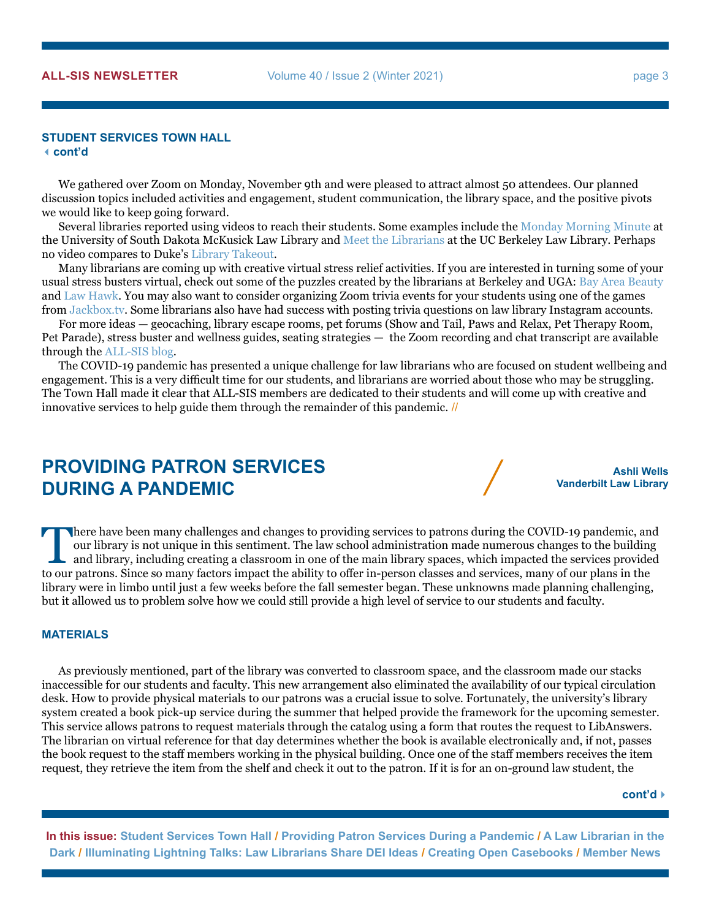### **STUDENT SERVICES TOWN HALL** [3](#page-9-0)**cont'd**

We gathered over Zoom on Monday, November 9th and were pleased to attract almost 50 attendees. Our planned discussion topics included activities and engagement, student communication, the library space, and the positive pivots we would like to keep going forward.

Several libraries reported using videos to reach their students. Some examples include the [Monday Morning Minute](http://Monday Morning Minute) at the University of South Dakota McKusick Law Library and [Meet the Librarians](http://Meet the Librarians) at the UC Berkeley Law Library. Perhaps no video compares to Duke's [Library Takeout.](http://Library Takeout)

Many librarians are coming up with creative virtual stress relief activities. If you are interested in turning some of your usual stress busters virtual, check out some of the puzzles created by the librarians at Berkeley and UGA: [Bay Area Beauty](http://Bay Area Beauty) and [Law Hawk.](http://Law Hawk) You may also want to consider organizing Zoom trivia events for your students using one of the games from [Jackbox.tv](http://Jackbox.tv). Some librarians also have had success with posting trivia questions on law library Instagram accounts.

For more ideas — geocaching, library escape rooms, pet forums (Show and Tail, Paws and Relax, Pet Therapy Room, Pet Parade), stress buster and wellness guides, seating strategies — the Zoom recording and chat transcript are available through the [ALL-SIS blog](http://ALL-SIS blog).

The COVID-19 pandemic has presented a unique challenge for law librarians who are focused on student wellbeing and engagement. This is a very difficult time for our students, and librarians are worried about those who may be struggling. The Town Hall made it clear that ALL-SIS members are dedicated to their students and will come up with creative and innovative services to help guide them through the remainder of this pandemic. //

## <span id="page-2-0"></span>**PROVIDING PATRON SERVICES DURING A PANDEMIC**

**Ashli Wells Vanderbilt Law Library**

There have been many challenges and changes to providing services to patrons during the COVID-19 pandemic, and our library is not unique in this sentiment. The law school administration made numerous changes to the building and library, including creating a classroom in one of the main library spaces, which impacted the services provided to our patrons. Since so many factors impact the ability to offer in-person classes and services, many of our plans in the library were in limbo until just a few weeks before the fall semester began. These unknowns made planning challenging, but it allowed us to problem solve how we could still provide a high level of service to our students and faculty.

## **MATERIALS**

As previously mentioned, part of the library was converted to classroom space, and the classroom made our stacks inaccessible for our students and faculty. This new arrangement also eliminated the availability of our typical circulation desk. How to provide physical materials to our patrons was a crucial issue to solve. Fortunately, the university's library system created a book pick-up service during the summer that helped provide the framework for the upcoming semester. This service allows patrons to request materials through the catalog using a form that routes the request to LibAnswers. The librarian on virtual reference for that day determines whether the book is available electronically and, if not, passes the book request to the staff members working in the physical building. Once one of the staff members receives the item request, they retrieve the item from the shelf and check it out to the patron. If it is for an on-ground law student, the

**cont'd**4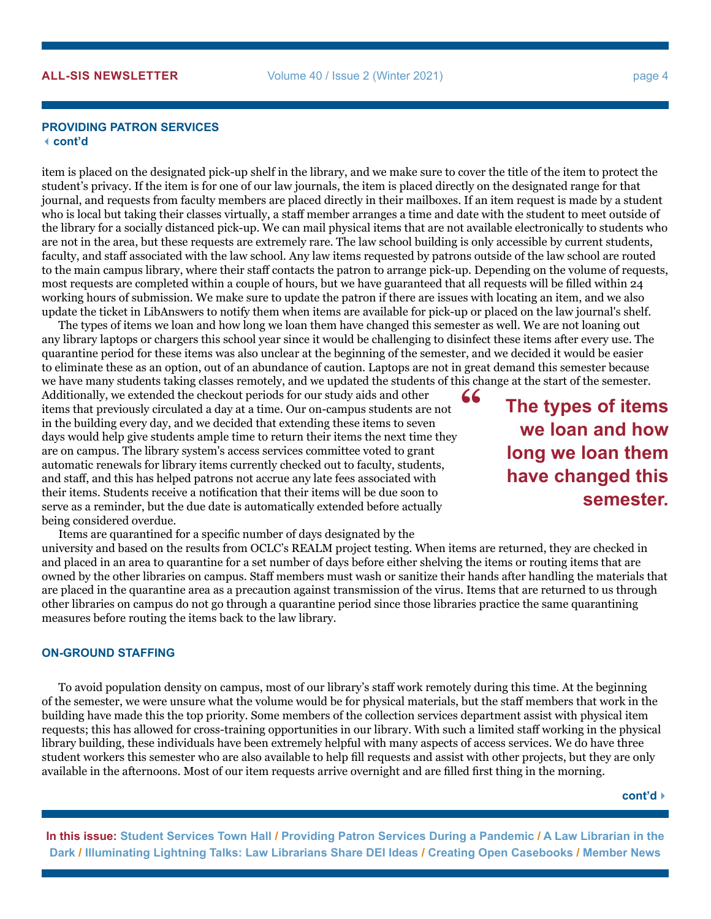### **PROVIDING PATRON SERVICES** [3](#page-9-0)**cont'd**

item is placed on the designated pick-up shelf in the library, and we make sure to cover the title of the item to protect the student's privacy. If the item is for one of our law journals, the item is placed directly on the designated range for that journal, and requests from faculty members are placed directly in their mailboxes. If an item request is made by a student who is local but taking their classes virtually, a staff member arranges a time and date with the student to meet outside of the library for a socially distanced pick-up. We can mail physical items that are not available electronically to students who are not in the area, but these requests are extremely rare. The law school building is only accessible by current students, faculty, and staff associated with the law school. Any law items requested by patrons outside of the law school are routed to the main campus library, where their staff contacts the patron to arrange pick-up. Depending on the volume of requests, most requests are completed within a couple of hours, but we have guaranteed that all requests will be filled within 24 working hours of submission. We make sure to update the patron if there are issues with locating an item, and we also update the ticket in LibAnswers to notify them when items are available for pick-up or placed on the law journal's shelf.

The types of items we loan and how long we loan them have changed this semester as well. We are not loaning out any library laptops or chargers this school year since it would be challenging to disinfect these items after every use. The quarantine period for these items was also unclear at the beginning of the semester, and we decided it would be easier to eliminate these as an option, out of an abundance of caution. Laptops are not in great demand this semester because we have many students taking classes remotely, and we updated the students of this change at the start of the semester.

Additionally, we extended the checkout periods for our study aids and other items that previously circulated a day at a time. Our on-campus students are not in the building every day, and we decided that extending these items to seven days would help give students ample time to return their items the next time they are on campus. The library system's access services committee voted to grant automatic renewals for library items currently checked out to faculty, students, and staff, and this has helped patrons not accrue any late fees associated with their items. Students receive a notification that their items will be due soon to serve as a reminder, but the due date is automatically extended before actually being considered overdue.

**" The types of items we loan and how long we loan them have changed this semester.**

Items are quarantined for a specific number of days designated by the university and based on the results from OCLC's REALM project testing. When items are returned, they are checked in and placed in an area to quarantine for a set number of days before either shelving the items or routing items that are owned by the other libraries on campus. Staff members must wash or sanitize their hands after handling the materials that are placed in the quarantine area as a precaution against transmission of the virus. Items that are returned to us through other libraries on campus do not go through a quarantine period since those libraries practice the same quarantining measures before routing the items back to the law library.

## **ON-GROUND STAFFING**

To avoid population density on campus, most of our library's staff work remotely during this time. At the beginning of the semester, we were unsure what the volume would be for physical materials, but the staff members that work in the building have made this the top priority. Some members of the collection services department assist with physical item requests; this has allowed for cross-training opportunities in our library. With such a limited staff working in the physical library building, these individuals have been extremely helpful with many aspects of access services. We do have three student workers this semester who are also available to help fill requests and assist with other projects, but they are only available in the afternoons. Most of our item requests arrive overnight and are filled first thing in the morning.

**cont'd**4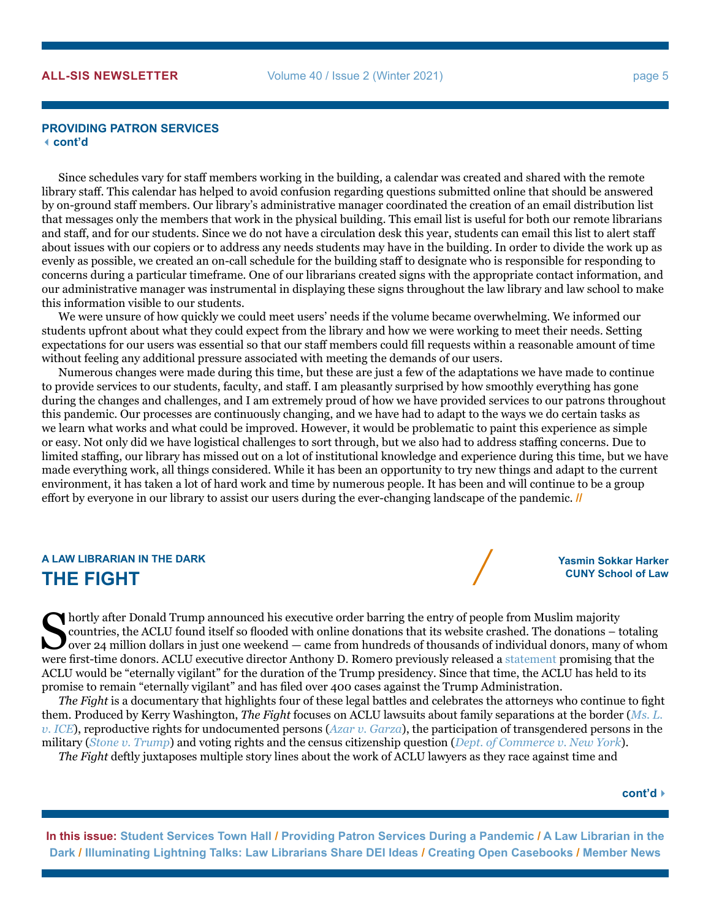### **PROVIDING PATRON SERVICES** [3](#page-9-0)**cont'd**

Since schedules vary for staff members working in the building, a calendar was created and shared with the remote library staff. This calendar has helped to avoid confusion regarding questions submitted online that should be answered by on-ground staff members. Our library's administrative manager coordinated the creation of an email distribution list that messages only the members that work in the physical building. This email list is useful for both our remote librarians and staff, and for our students. Since we do not have a circulation desk this year, students can email this list to alert staff about issues with our copiers or to address any needs students may have in the building. In order to divide the work up as evenly as possible, we created an on-call schedule for the building staff to designate who is responsible for responding to concerns during a particular timeframe. One of our librarians created signs with the appropriate contact information, and our administrative manager was instrumental in displaying these signs throughout the law library and law school to make this information visible to our students.

We were unsure of how quickly we could meet users' needs if the volume became overwhelming. We informed our students upfront about what they could expect from the library and how we were working to meet their needs. Setting expectations for our users was essential so that our staff members could fill requests within a reasonable amount of time without feeling any additional pressure associated with meeting the demands of our users.

Numerous changes were made during this time, but these are just a few of the adaptations we have made to continue to provide services to our students, faculty, and staff. I am pleasantly surprised by how smoothly everything has gone during the changes and challenges, and I am extremely proud of how we have provided services to our patrons throughout this pandemic. Our processes are continuously changing, and we have had to adapt to the ways we do certain tasks as we learn what works and what could be improved. However, it would be problematic to paint this experience as simple or easy. Not only did we have logistical challenges to sort through, but we also had to address staffing concerns. Due to limited staffing, our library has missed out on a lot of institutional knowledge and experience during this time, but we have made everything work, all things considered. While it has been an opportunity to try new things and adapt to the current environment, it has taken a lot of hard work and time by numerous people. It has been and will continue to be a group effort by everyone in our library to assist our users during the ever-changing landscape of the pandemic. **//**

## <span id="page-4-0"></span>**A LAW LIBRARIAN IN THE DARK THE FIGHT**

shortly after Donald Trump announced his executive order barring the entry of people from Muslim majority countries, the ACLU found itself so flooded with online donations that its website crashed. The donations – totaling over 24 million dollars in just one weekend — came from hundreds of thousands of individual donors, many of whom were first-time donors. ACLU executive director Anthony D. Romero previously released a [statement](https://www.aclu.org/press-releases/aclu-statement-donald-trumps-election) promising that the ACLU would be "eternally vigilant" for the duration of the Trump presidency. Since that time, the ACLU has held to its promise to remain "eternally vigilant" and has filed over 400 cases against the Trump Administration.

*The Fight* is a documentary that highlights four of these legal battles and celebrates the attorneys who continue to fight them. Produced by Kerry Washington, *The Fight* focuses on ACLU lawsuits about family separations at the border (*[Ms. L.](https://www.aclu.org/cases/ms-l-v-ice)  [v. ICE](https://www.aclu.org/cases/ms-l-v-ice)*), reproductive rights for undocumented persons (*[Azar v. Garza](https://www.acludc.org/en/cases/jd-v-azar-formerly-garza-v-azar-and-garza-v-hargan-challenging-trump-administrations-refusal)*), the participation of transgendered persons in the military (*[Stone v. Trump](https://www.aclu.org/cases/stone-v-trump)*) and voting rights and the census citizenship question (*[Dept. of Commerce v. New York](https://www.aclu.org/cases/department-commerce-v-new-york)*).

*The Fight* deftly juxtaposes multiple story lines about the work of ACLU lawyers as they race against time and

## **cont'd**4

**Yasmin Sokkar Harker CUNY School of Law**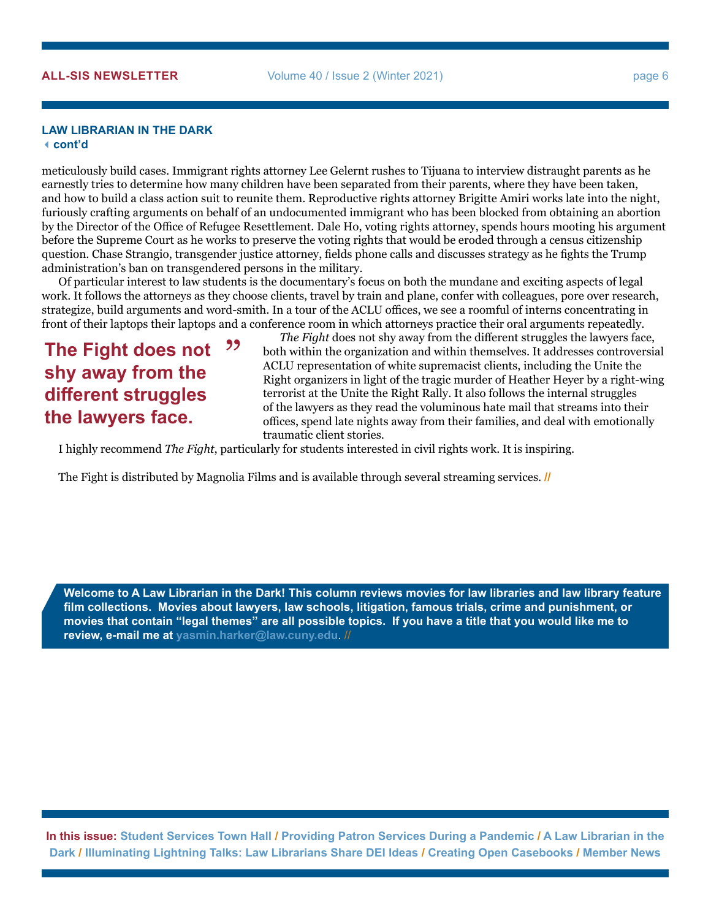## **LAW LIBRARIAN IN THE DARK**

[3](#page-9-0)**cont'd**

meticulously build cases. Immigrant rights attorney Lee Gelernt rushes to Tijuana to interview distraught parents as he earnestly tries to determine how many children have been separated from their parents, where they have been taken, and how to build a class action suit to reunite them. Reproductive rights attorney Brigitte Amiri works late into the night, furiously crafting arguments on behalf of an undocumented immigrant who has been blocked from obtaining an abortion by the Director of the Office of Refugee Resettlement. Dale Ho, voting rights attorney, spends hours mooting his argument before the Supreme Court as he works to preserve the voting rights that would be eroded through a census citizenship question. Chase Strangio, transgender justice attorney, fields phone calls and discusses strategy as he fights the Trump administration's ban on transgendered persons in the military.

Of particular interest to law students is the documentary's focus on both the mundane and exciting aspects of legal work. It follows the attorneys as they choose clients, travel by train and plane, confer with colleagues, pore over research, strategize, build arguments and word-smith. In a tour of the ACLU offices, we see a roomful of interns concentrating in front of their laptops their laptops and a conference room in which attorneys practice their oral arguments repeatedly.

" **The Fight does not shy away from the different struggles the lawyers face.**

*The Fight* does not shy away from the different struggles the lawyers face, both within the organization and within themselves. It addresses controversial ACLU representation of white supremacist clients, including the Unite the Right organizers in light of the tragic murder of Heather Heyer by a right-wing terrorist at the Unite the Right Rally. It also follows the internal struggles of the lawyers as they read the voluminous hate mail that streams into their offices, spend late nights away from their families, and deal with emotionally traumatic client stories.

I highly recommend *The Fight*, particularly for students interested in civil rights work. It is inspiring.

The Fight is distributed by Magnolia Films and is available through several streaming services. **//**

**Welcome to A Law Librarian in the Dark! This column reviews movies for law libraries and law library feature film collections. Movies about lawyers, law schools, litigation, famous trials, crime and punishment, or movies that contain "legal themes" are all possible topics. If you have a title that you would like me to review, e-mail me at [yasmin.harker@law.cuny.edu](mailto:yasmin.harker%40law.cuny.edu?subject=)**. //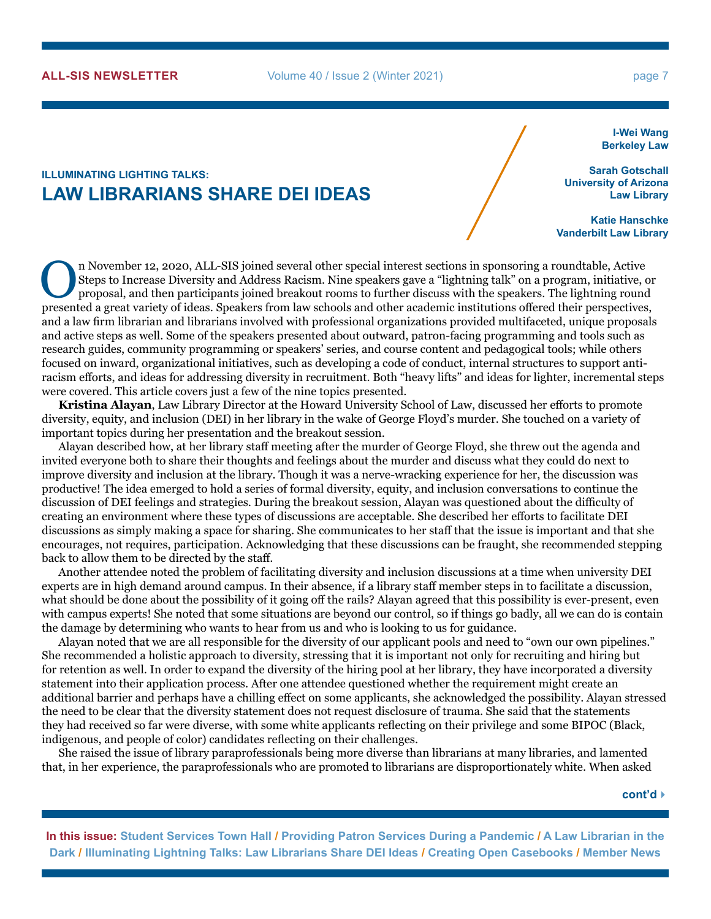<span id="page-6-0"></span>**ILLUMINATING LIGHTING TALKS:**

**LAW LIBRARIANS SHARE DEI IDEAS**

### **I-Wei Wang Berkeley Law**

**Sarah Gotschall University of Arizona Law Library**

**Katie Hanschke Vanderbilt Law Library**

In November 12, 2020, ALL-SIS joined several other special interest sections in sponsoring a roundtable, Active<br>Steps to Increase Diversity and Address Racism. Nine speakers gave a "lightning talk" on a program, initiative Steps to Increase Diversity and Address Racism. Nine speakers gave a "lightning talk" on a program, initiative, or proposal, and then participants joined breakout rooms to further discuss with the speakers. The lightning round presented a great variety of ideas. Speakers from law schools and other academic institutions offered their perspectives, and a law firm librarian and librarians involved with professional organizations provided multifaceted, unique proposals and active steps as well. Some of the speakers presented about outward, patron-facing programming and tools such as research guides, community programming or speakers' series, and course content and pedagogical tools; while others focused on inward, organizational initiatives, such as developing a code of conduct, internal structures to support antiracism efforts, and ideas for addressing diversity in recruitment. Both "heavy lifts" and ideas for lighter, incremental steps were covered. This article covers just a few of the nine topics presented.

**Kristina Alayan**, Law Library Director at the Howard University School of Law, discussed her efforts to promote diversity, equity, and inclusion (DEI) in her library in the wake of George Floyd's murder. She touched on a variety of important topics during her presentation and the breakout session.

Alayan described how, at her library staff meeting after the murder of George Floyd, she threw out the agenda and invited everyone both to share their thoughts and feelings about the murder and discuss what they could do next to improve diversity and inclusion at the library. Though it was a nerve-wracking experience for her, the discussion was productive! The idea emerged to hold a series of formal diversity, equity, and inclusion conversations to continue the discussion of DEI feelings and strategies. During the breakout session, Alayan was questioned about the difficulty of creating an environment where these types of discussions are acceptable. She described her efforts to facilitate DEI discussions as simply making a space for sharing. She communicates to her staff that the issue is important and that she encourages, not requires, participation. Acknowledging that these discussions can be fraught, she recommended stepping back to allow them to be directed by the staff.

Another attendee noted the problem of facilitating diversity and inclusion discussions at a time when university DEI experts are in high demand around campus. In their absence, if a library staff member steps in to facilitate a discussion, what should be done about the possibility of it going off the rails? Alayan agreed that this possibility is ever-present, even with campus experts! She noted that some situations are beyond our control, so if things go badly, all we can do is contain the damage by determining who wants to hear from us and who is looking to us for guidance.

Alayan noted that we are all responsible for the diversity of our applicant pools and need to "own our own pipelines." She recommended a holistic approach to diversity, stressing that it is important not only for recruiting and hiring but for retention as well. In order to expand the diversity of the hiring pool at her library, they have incorporated a diversity statement into their application process. After one attendee questioned whether the requirement might create an additional barrier and perhaps have a chilling effect on some applicants, she acknowledged the possibility. Alayan stressed the need to be clear that the diversity statement does not request disclosure of trauma. She said that the statements they had received so far were diverse, with some white applicants reflecting on their privilege and some BIPOC (Black, indigenous, and people of color) candidates reflecting on their challenges.

She raised the issue of library paraprofessionals being more diverse than librarians at many libraries, and lamented that, in her experience, the paraprofessionals who are promoted to librarians are disproportionately white. When asked

**cont'd**4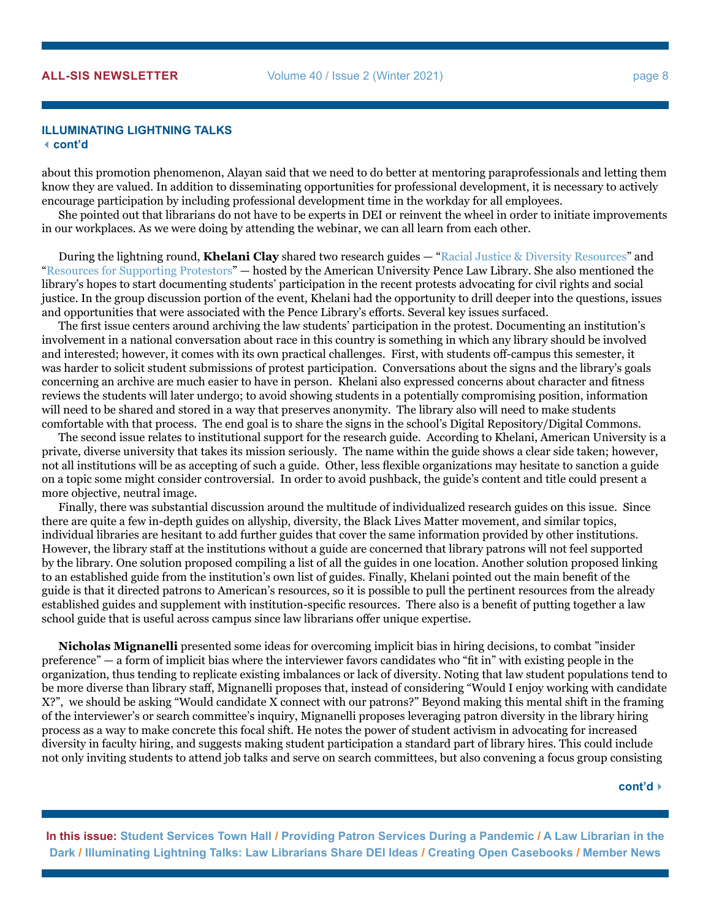### **ILLUMINATING LIGHTNING TALKS** [3](#page-9-0)**cont'd**

about this promotion phenomenon, Alayan said that we need to do better at mentoring paraprofessionals and letting them know they are valued. In addition to disseminating opportunities for professional development, it is necessary to actively encourage participation by including professional development time in the workday for all employees.

She pointed out that librarians do not have to be experts in DEI or reinvent the wheel in order to initiate improvements in our workplaces. As we were doing by attending the webinar, we can all learn from each other.

During the lightning round, **Khelani Clay** shared two research guides — "[Racial Justice & Diversity Resources"](https://wcl.american.libguides.com/justice) and ["Resources for Supporting Protestors](https://wcl.american.libguides.com/protests)" — hosted by the American University Pence Law Library. She also mentioned the library's hopes to start documenting students' participation in the recent protests advocating for civil rights and social justice. In the group discussion portion of the event, Khelani had the opportunity to drill deeper into the questions, issues and opportunities that were associated with the Pence Library's efforts. Several key issues surfaced.

The first issue centers around archiving the law students' participation in the protest. Documenting an institution's involvement in a national conversation about race in this country is something in which any library should be involved and interested; however, it comes with its own practical challenges. First, with students off-campus this semester, it was harder to solicit student submissions of protest participation. Conversations about the signs and the library's goals concerning an archive are much easier to have in person. Khelani also expressed concerns about character and fitness reviews the students will later undergo; to avoid showing students in a potentially compromising position, information will need to be shared and stored in a way that preserves anonymity. The library also will need to make students comfortable with that process. The end goal is to share the signs in the school's Digital Repository/Digital Commons.

The second issue relates to institutional support for the research guide. According to Khelani, American University is a private, diverse university that takes its mission seriously. The name within the guide shows a clear side taken; however, not all institutions will be as accepting of such a guide. Other, less flexible organizations may hesitate to sanction a guide on a topic some might consider controversial. In order to avoid pushback, the guide's content and title could present a more objective, neutral image.

Finally, there was substantial discussion around the multitude of individualized research guides on this issue. Since there are quite a few in-depth guides on allyship, diversity, the Black Lives Matter movement, and similar topics, individual libraries are hesitant to add further guides that cover the same information provided by other institutions. However, the library staff at the institutions without a guide are concerned that library patrons will not feel supported by the library. One solution proposed compiling a list of all the guides in one location. Another solution proposed linking to an established guide from the institution's own list of guides. Finally, Khelani pointed out the main benefit of the guide is that it directed patrons to American's resources, so it is possible to pull the pertinent resources from the already established guides and supplement with institution-specific resources. There also is a benefit of putting together a law school guide that is useful across campus since law librarians offer unique expertise.

**Nicholas Mignanelli** presented some ideas for overcoming implicit bias in hiring decisions, to combat "insider preference" — a form of implicit bias where the interviewer favors candidates who "fit in" with existing people in the organization, thus tending to replicate existing imbalances or lack of diversity. Noting that law student populations tend to be more diverse than library staff, Mignanelli proposes that, instead of considering "Would I enjoy working with candidate  $X$ ?", we should be asking "Would candidate X connect with our patrons?" Beyond making this mental shift in the framing of the interviewer's or search committee's inquiry, Mignanelli proposes leveraging patron diversity in the library hiring process as a way to make concrete this focal shift. He notes the power of student activism in advocating for increased diversity in faculty hiring, and suggests making student participation a standard part of library hires. This could include not only inviting students to attend job talks and serve on search committees, but also convening a focus group consisting

**cont'd**4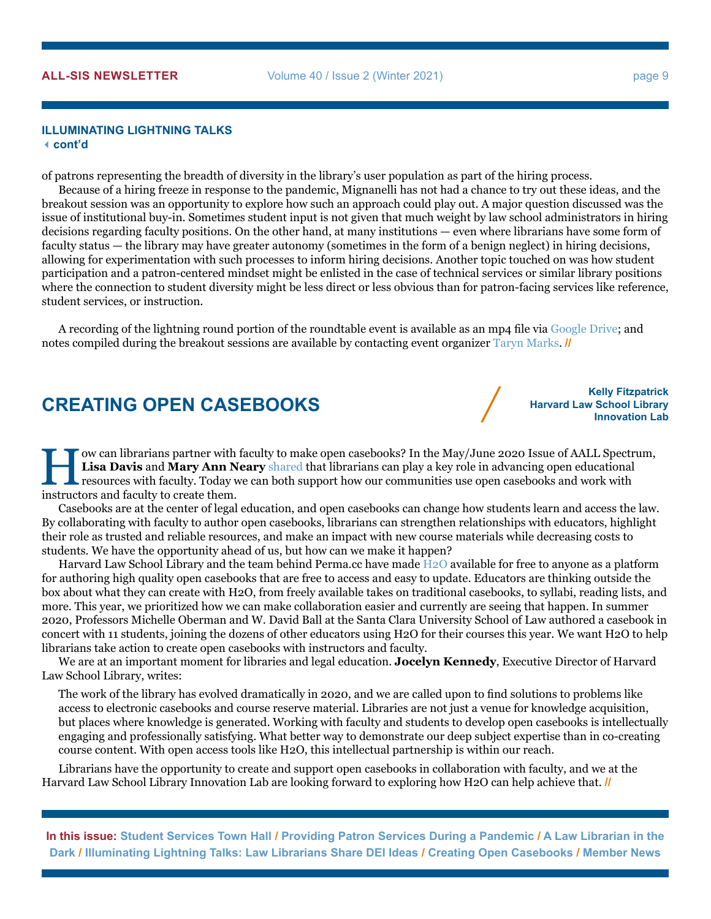### **ILLUMINATING LIGHTNING TALKS** [3](#page-9-0)**cont'd**

of patrons representing the breadth of diversity in the library's user population as part of the hiring process.

Because of a hiring freeze in response to the pandemic, Mignanelli has not had a chance to try out these ideas, and the breakout session was an opportunity to explore how such an approach could play out. A major question discussed was the issue of institutional buy-in. Sometimes student input is not given that much weight by law school administrators in hiring decisions regarding faculty positions. On the other hand, at many institutions — even where librarians have some form of faculty status — the library may have greater autonomy (sometimes in the form of a benign neglect) in hiring decisions, allowing for experimentation with such processes to inform hiring decisions. Another topic touched on was how student participation and a patron-centered mindset might be enlisted in the case of technical services or similar library positions where the connection to student diversity might be less direct or less obvious than for patron-facing services like reference, student services, or instruction.

A recording of the lightning round portion of the roundtable event is available as an mp4 file via [Google Drive](https://drive.google.com/file/d/1pD4SujlAEAWETtP3Whpqe7NJqrVguWjJ/view); and notes compiled during the breakout sessions are available by contacting event organizer [Taryn Marks.](mailto:tlmarks%40law.stanford.edu?subject=) **//**

# <span id="page-8-0"></span>**CREATING OPEN CASEBOOKS**

**Harvard Law School Library Innovation Lab**

I we can librarians partner with faculty to make open casebooks? In the May/June 2020 Issue of AALL Spectrum,<br> **Lisa Davis** and **Mary Ann Neary shared** that librarians can play a key role in advancing open educational<br>
ins **Lisa Davis** and **Mary Ann Neary** [shared](https://www.aallnet.org/spectrum_article/leveraging-open-educational-resources-affordable-course-materials-in-legal-education/) that librarians can play a key role in advancing open educational resources with faculty. Today we can both support how our communities use open casebooks and work with instructors and faculty to create them.

Casebooks are at the center of legal education, and open casebooks can change how students learn and access the law. By collaborating with faculty to author open casebooks, librarians can strengthen relationships with educators, highlight their role as trusted and reliable resources, and make an impact with new course materials while decreasing costs to students. We have the opportunity ahead of us, but how can we make it happen?

Harvard Law School Library and the team behind Perma.cc have made [H2O](https://h2o.law.harvard.edu/) available for free to anyone as a platform for authoring high quality open casebooks that are free to access and easy to update. Educators are thinking outside the box about what they can create with H2O, from freely available takes on traditional casebooks, to syllabi, reading lists, and more. This year, we prioritized how we can make collaboration easier and currently are seeing that happen. In summer 2020, Professors Michelle Oberman and W. David Ball at the Santa Clara University School of Law authored a casebook in concert with 11 students, joining the dozens of other educators using H2O for their courses this year. We want H2O to help librarians take action to create open casebooks with instructors and faculty.

We are at an important moment for libraries and legal education. **Jocelyn Kennedy**, Executive Director of Harvard Law School Library, writes:

The work of the library has evolved dramatically in 2020, and we are called upon to find solutions to problems like access to electronic casebooks and course reserve material. Libraries are not just a venue for knowledge acquisition, but places where knowledge is generated. Working with faculty and students to develop open casebooks is intellectually engaging and professionally satisfying. What better way to demonstrate our deep subject expertise than in co-creating course content. With open access tools like H2O, this intellectual partnership is within our reach.

Librarians have the opportunity to create and support open casebooks in collaboration with faculty, and we at the Harvard Law School Library Innovation Lab are looking forward to exploring how H2O can help achieve that. **//**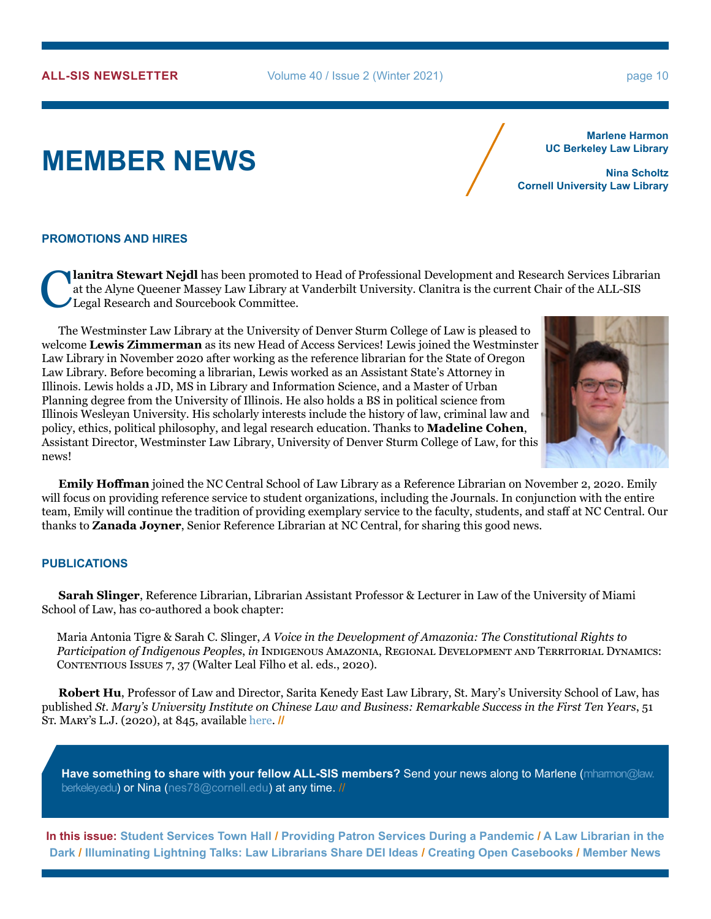**ALL-SIS NEWSLETTER** Volume 40 / Issue 2 (Winter 2021) page 10

# <span id="page-9-0"></span>**MEMBER NEWS**

**Marlene Harmon UC Berkeley Law Library**

**Nina Scholtz Cornell University Law Library**

## **PROMOTIONS AND HIRES**

**Clanitra Stewart Nejdl** has been promoted to Head of Professional Development and Research Services Librarian at the Alyne Queener Massey Law Library at Vanderbilt University. Clanitra is the current Chair of the ALL-SIS at the Alyne Queener Massey Law Library at Vanderbilt University. Clanitra is the current Chair of the ALL-SIS Legal Research and Sourcebook Committee.

The Westminster Law Library at the University of Denver Sturm College of Law is pleased to welcome **Lewis Zimmerman** as its new Head of Access Services! Lewis joined the Westminster Law Library in November 2020 after working as the reference librarian for the State of Oregon Law Library. Before becoming a librarian, Lewis worked as an Assistant State's Attorney in Illinois. Lewis holds a JD, MS in Library and Information Science, and a Master of Urban Planning degree from the University of Illinois. He also holds a BS in political science from Illinois Wesleyan University. His scholarly interests include the history of law, criminal law and policy, ethics, political philosophy, and legal research education. Thanks to **Madeline Cohen**, Assistant Director, Westminster Law Library, University of Denver Sturm College of Law, for this news!



**Emily Hoffman** joined the NC Central School of Law Library as a Reference Librarian on November 2, 2020. Emily will focus on providing reference service to student organizations, including the Journals. In conjunction with the entire team, Emily will continue the tradition of providing exemplary service to the faculty, students, and staff at NC Central. Our thanks to **Zanada Joyner**, Senior Reference Librarian at NC Central, for sharing this good news.

## **PUBLICATIONS**

**Sarah Slinger**, Reference Librarian, Librarian Assistant Professor & Lecturer in Law of the University of Miami School of Law, has co-authored a book chapter:

Maria Antonia Tigre & Sarah C. Slinger, *A Voice in the Development of Amazonia: The Constitutional Rights to Participation of Indigenous Peoples*, *in* Indigenous Amazonia, Regional Development and Territorial Dynamics: CONTENTIOUS ISSUES 7, 37 (Walter Leal Filho et al. eds., 2020).

**Robert Hu**, Professor of Law and Director, Sarita Kenedy East Law Library, St. Mary's University School of Law, has published *St. Mary's University Institute on Chinese Law and Business: Remarkable Success in the First Ten Years*, 51 St. Mary's L.J. (2020), at 845, available [here](https://commons.stmarytx.edu/cgi/viewcontent.cgi?article=1070&context=thestmaryslawjournal). **//**

**Have something to share with your fellow ALL-SIS members?** Send your news along to Marlene ([mharmon@law.](mailto:mharmon%40law.berkeley.edu?subject=) [berkeley.edu\)](mailto:mharmon%40law.berkeley.edu?subject=) or Nina ([nes78@cornell.edu](mailto:nes78%40cornell.edu?subject=)) at any time. //